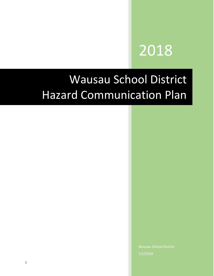# 2018

## Wausau School District Hazard Communication Plan

Wausau School District 1/1/2018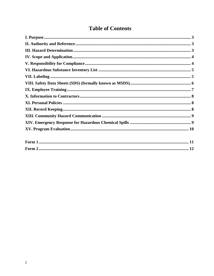### **Table of Contents**

| $\Gamma_{\alpha \mu \nu \lambda}$ 1 | 11 |
|-------------------------------------|----|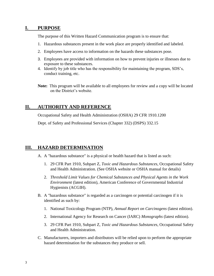#### **I. PURPOSE**

The purpose of this Written Hazard Communication program is to ensure that:

- 1. Hazardous substances present in the work place are properly identified and labeled.
- 2. Employees have access to information on the hazards these substances pose.
- 3. Employees are provided with information on how to prevent injuries or illnesses due to exposure to these substances.
- 4. Identify by job title who has the responsibility for maintaining the program, SDS's, conduct training, etc.

**Note:** This program will be available to all employees for review and a copy will be located on the District's website.

#### **II. AUTHORITY AND REFERENCE**

Occupational Safety and Health Administration (OSHA) 29 CFR 1910.1200

Dept. of Safety and Professional Services (Chapter 332) (DSPS) 332.15

#### **III. HAZARD DETERMINATION**

- A. A "hazardous substance" is a physical or health hazard that is listed as such:
	- 1. 29 CFR Part 1910, Subpart Z, *Toxic and Hazardous Substances*, Occupational Safety and Health Administration. (See OSHA website or OSHA manual for details)
	- 2. *Threshold Limit Values for Chemical Substances and Physical Agents in the Work Environment* (latest edition), American Conference of Governmental Industrial Hygienists (ACGIH).
- B. A "hazardous substance" is regarded as a carcinogen or potential carcinogen if it is identified as such by:
	- 1. National Toxicology Program (NTP), *Annual Report on Carcinogens* (latest edition).
	- 2. International Agency for Research on Cancer (IARC) *Monographs* (latest edition).
	- 3. 29 CFR Part 1910, Subpart Z, *Toxic and Hazardous Substances*, Occupational Safety and Health Administration.
- C. Manufacturers, importers and distributors will be relied upon to perform the appropriate hazard determination for the substances they produce or sell.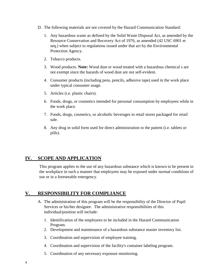- D. The following materials are not covered by the Hazard Communication Standard:
	- 1. Any hazardous waste as defined by the Solid Waste Disposal Act, as amended by the Resource Conservation and Recovery Act of 1976, as amended (42 USC 6901 et seq*.*) when subject to regulations issued under that act by the Environmental Protection Agency.
	- 2. Tobacco products.
	- 3. Wood products. **Note:** Wood dust or wood treated with a hazardous chemical s are not exempt since the hazards of wood dust are not self-evident.
	- 4. Consumer products (including pens, pencils, adhesive tape) used in the work place under typical consumer usage.
	- 5. Articles (i.e. plastic chairs).
	- 6. Foods, drugs, or cosmetics intended for personal consumption by employees while in the work place.
	- 7. Foods, drugs, cosmetics, or alcoholic beverages in retail stores packaged for retail sale.
	- 8. Any drug in solid form used for direct administration to the patient (i.e. tablets or pills).

#### **IV. SCOPE AND APPLICATION**

This program applies to the use of any hazardous substance which is known to be present in the workplace in such a manner that employees may be exposed under normal conditions of use or in a foreseeable emergency.

#### **V. RESPONSIBILITY FOR COMPLIANCE**

- A. The administration of this program will be the responsibility of the Director of Pupil Services or his/her designee. The administrative responsibilities of this individual/position will include:
	- 1. Identification of the employees to be included in the Hazard Communication Program.
	- 2. Development and maintenance of a hazardous substance master inventory list.
	- 3. Coordination and supervision of employee training.
	- 4. Coordination and supervision of the facility's container labeling program.
	- 5. Coordination of any necessary exposure monitoring.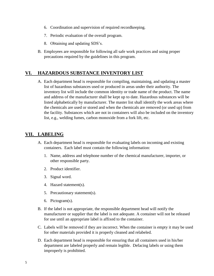- 6. Coordination and supervision of required recordkeeping.
- 7. Periodic evaluation of the overall program.
- 8. Obtaining and updating SDS's.
- B. Employees are responsible for following all safe work practices and using proper precautions required by the guidelines in this program.

#### **VI. HAZARDOUS SUBSTANCE INVENTORY LIST**

A. Each department head is responsible for compiling, maintaining, and updating a master list of hazardous substances used or produced in areas under their authority. The inventory list will include the common identity or trade name of the product. The name and address of the manufacturer shall be kept up to date. Hazardous substances will be listed alphabetically by manufacturer. The master list shall identify the work areas where the chemicals are used or stored and when the chemicals are removed (or used up) from the facility. Substances which are not in containers will also be included on the inventory list, e.g., welding fumes, carbon monoxide from a fork lift, etc.

#### **VII. LABELING**

- A. Each department head is responsible for evaluating labels on incoming and existing containers. Each label must contain the following information:
	- 1. Name, address and telephone number of the chemical manufacturer, importer, or other responsible party.
	- 2. Product identifier.
	- 3. Signal word.
	- 4. Hazard statement(s).
	- 5. Precautionary statement(s).
	- 6. Pictogram(s).
- B. If the label is not appropriate, the responsible department head will notify the manufacturer or supplier that the label is not adequate. A container will not be released for use until an appropriate label is affixed to the container.
- C. Labels will be removed if they are incorrect. When the container is empty it may be used for other materials provided it is properly cleaned and relabeled.
- D. Each department head is responsible for ensuring that all containers used in his/her department are labeled properly and remain legible. Defacing labels or using them improperly is prohibited.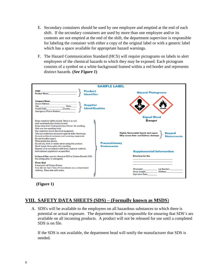- E. Secondary containers should be used by one employee and emptied at the end of each shift. If the secondary containers are used by more than one employee and/or its contents are not emptied at the end of the shift, the department supervisor is responsible for labeling the container with either a copy of the original label or with a generic label which has a space available for appropriate hazard warnings.
- F. The Hazard Communication Standard (HCS) will require pictograms on labels to alert employees of the chemical hazards to which they may be exposed. Each pictogram consists of a symbol on a white background framed within a red border and represents distinct hazards. **(***See Figure 1***)**



**(Figure 1)**

#### **VIII. SAFETY DATA SHEETS (SDS) – (Formally known as MSDS**)

A. SDS's will be available to the employees on all hazardous substances to which there is potential or actual exposure. The department head is responsible for ensuring that SDS's are available on all incoming products. A product will not be released for use until a completed SDS is on file.

If the SDS is not available, the department head will notify the manufacturer that SDS is needed.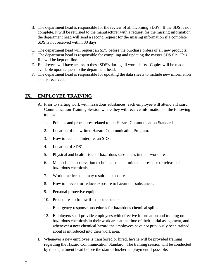- B. The department head is responsible for the review of all incoming SDS's. If the SDS is not complete, it will be returned to the manufacturer with a request for the missing information. the department head will send a second request for the missing information if a complete SDS is not received within 30 days.
- C. The department head will request an SDS before the purchase orders of all new products.
- D. The department head is responsible for compiling and updating the master SDS file. This file will be kept on-line.
- E. Employees will have access to these SDS's during all work shifts. Copies will be made available upon request to the department head.
- F. The department head is responsible for updating the data sheets to include new information as it is received.

#### **IX. EMPLOYEE TRAINING**

- A. Prior to starting work with hazardous substances, each employee will attend a Hazard Communication Training Session where they will receive information on the following topics:
	- 1. Policies and procedures related to the Hazard Communication Standard.
	- 2. Location of the written Hazard Communication Program.
	- 3. How to read and interpret an SDS.
	- 4. Location of SDS's.
	- 5. Physical and health risks of hazardous substances in their work area.
	- 6. Methods and observation techniques to determine the presence or release of hazardous chemicals.
	- 7. Work practices that may result in exposure.
	- 8. How to prevent or reduce exposure to hazardous substances.
	- 9. Personal protective equipment.
	- 10. Procedures to follow if exposure occurs.
	- 11. Emergency response procedures for hazardous chemical spills.
	- 12. Employers shall provide employees with effective information and training on hazardous chemicals in their work area at the time of their initial assignment, and whenever a new chemical hazard the employees have not previously been trained about is introduced into their work area.
- B. Whenever a new employee is transferred or hired, he/she will be provided training regarding the Hazard Communication Standard. The training session will be conducted by the department head before the start of his/her employment if possible.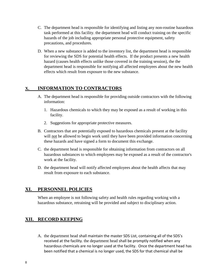- C. The department head is responsible for identifying and listing any non-routine hazardous task performed at this facility. the department head will conduct training on the specific hazards of the job including appropriate personal protective equipment, safety precautions, and procedures.
- D. When a new substance is added to the inventory list, the department head is responsible for reviewing the SDS for potential health effects. If the product presents a new health hazard (causes health effects unlike those covered in the training session), the the department head is responsible for notifying all affected employees about the new health effects which result from exposure to the new substance.

#### **X. INFORMATION TO CONTRACTORS**

- A. The department head is responsible for providing outside contractors with the following information:
	- 1. Hazardous chemicals to which they may be exposed as a result of working in this facility.
	- 2. Suggestions for appropriate protective measures.
- B. Contractors that are potentially exposed to hazardous chemicals present at the facility will not be allowed to begin work until they have been provided information concerning these hazards and have signed a form to document this exchange.
- C. the department head is responsible for obtaining information from contractors on all hazardous substances to which employees may be exposed as a result of the contractor's work at the facility.
- D. the department head will notify affected employees about the health affects that may result from exposure to each substance.

#### **XI. PERSONNEL POLICIES**

When an employee is not following safety and health rules regarding working with a hazardous substance, retraining will be provided and subject to disciplinary action.

#### **XII. RECORD KEEPING**

A. the department head shall maintain the master SDS List, containing all of the SDS's received at the facility. the department head shall be promptly notified when any hazardous chemicals are no longer used at the facility. Once the department head has been notified that a chemical is no longer used, the SDS for that chemical shall be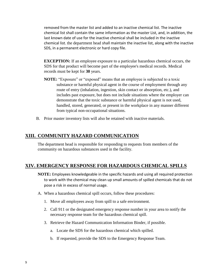removed from the master list and added to an inactive chemical list. The inactive chemical list shall contain the same information as the master List, and, in addition, the last known date of use for the inactive chemical shall be included in the inactive chemical list. the department head shall maintain the inactive list, along with the inactive SDS, in a permanent electronic or hard copy file.

**EXCEPTION:** If an employee exposure to a particular hazardous chemical occurs, the SDS for that product will become part of the employee's medical records. Medical records must be kept for **30** years.

- **NOTE:** "Exposure" or "exposed" means that an employee is subjected to a toxic substance or harmful physical agent in the course of employment through any route of entry (inhalation, ingestion, skin contact or absorption, etc.), and includes past exposure, but does not include situations where the employer can demonstrate that the toxic substance or harmful physical agent is not used, handled, stored, generated, or present in the workplace in any manner different from typical non-occupational situations.
- B. Prior master inventory lists will also be retained with inactive materials.

#### **XIII. COMMUNITY HAZARD COMMUNICATION**

The department head is responsible for responding to requests from members of the community on hazardous substances used in the facility.

#### **XIV. EMERGENCY RESPONSE FOR HAZARDOUS CHEMICAL SPILLS**

- **NOTE:** Employees knowledgeable in the specific hazards and using all required protection to work with the chemical may clean up small amounts of spilled chemicals that do not pose a risk in excess of normal usage.
- A. When a hazardous chemical spill occurs, follow these procedures:
	- 1. Move all employees away from spill to a safe environment.
	- 2. Call 911 or the designated emergency response number in your area to notify the necessary response team for the hazardous chemical spill.
	- 3. Retrieve the Hazard Communication Information Binder, if possible.
		- a. Locate the SDS for the hazardous chemical which spilled.
		- b. If requested, provide the SDS to the Emergency Response Team.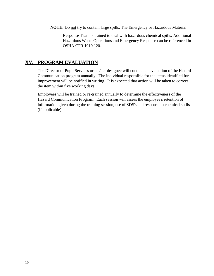**NOTE:** Do not try to contain large spills. The Emergency or Hazardous Material

Response Team is trained to deal with hazardous chemical spills. Additional Hazardous Waste Operations and Emergency Response can be referenced in OSHA CFR 1910.120.

#### **XV. PROGRAM EVALUATION**

The Director of Pupil Services or his/her designee will conduct an evaluation of the Hazard Communication program annually. The individual responsible for the items identified for improvement will be notified in writing. It is expected that action will be taken to correct the item within five working days.

Employees will be trained or re-trained annually to determine the effectiveness of the Hazard Communication Program. Each session will assess the employee's retention of information given during the training session, use of SDS's and response to chemical spills (if applicable).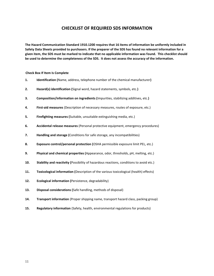#### **CHECKLIST OF REQUIRED SDS INFORMATION**

**The Hazard Communication Standard 1910.1200 requires that 16 items of information be uniformly included in Safety Data Sheets provided to purchasers. If the preparer of the SDS has found no relevant information for a given item, the SDS must be marked to indicate that no applicable information was found. This checklist should be used to determine the completeness of the SDS. It does not assess the accuracy of the information.**

**Check Box If Item Is Complete**

- **1. Identification (**Name, address, telephone number of the chemical manufacturer**)**
- **2. Hazard(s) identification (**Signal word, hazard statements, symbols, etc.**)**
- **3. Composition/information on ingredients (**Impurities, stabilizing additives, etc.**)**
- **4. First-aid measures** (Description of necessary measures, routes of exposure, etc.)
- **5. Firefighting measures (**Suitable, unsuitable extinguishing media, etc.)
- **6. Accidental release measures** (Personal protective equipment, emergency procedures)
- **7. Handling and storage (**Conditions for safe storage, any incompatibilities)
- **8. Exposure control/personal protection (**OSHA permissible exposure limit PEL, etc.)
- **9. Physical and chemical properties (**Appearance, odor, thresholds, pH, melting, etc.)
- **10. Stability and reactivity (**Possibility of hazardous reactions, conditions to avoid etc.)
- **11. Toxicological information (**Description of the various toxicological (health) effects)
- **12. Ecological information (**Persistence, degradability)
- **13. Disposal considerations (**Safe handling, methods of disposal)
- **14. Transport information** (Proper shipping name, transport hazard class, packing group)
- **15. Regulatory information** (Safety, health, environmental regulations for products)